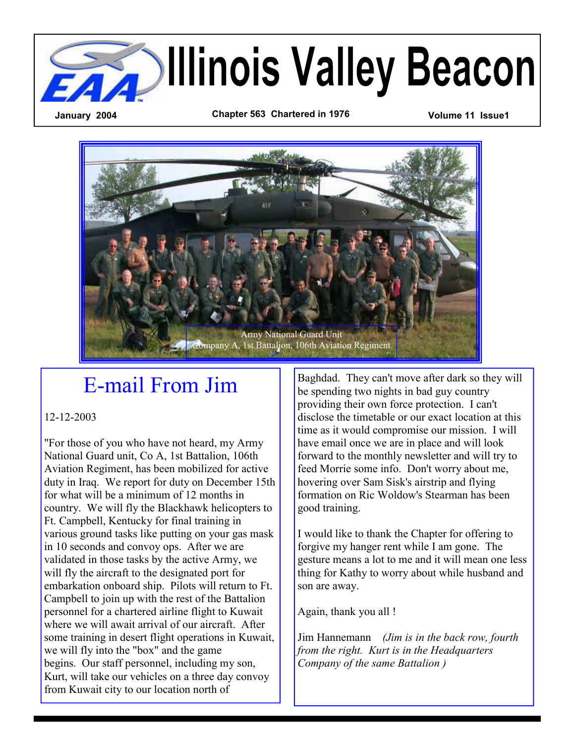

Army National Guard Unit Company A, 1st Battalion, 106th Aviation Regiment

# E-mail From Jim

12-12-2003

"For those of you who have not heard, my Army National Guard unit, Co A, 1st Battalion, 106th Aviation Regiment, has been mobilized for active duty in Iraq. We report for duty on December 15th for what will be a minimum of 12 months in country. We will fly the Blackhawk helicopters to Ft. Campbell, Kentucky for final training in various ground tasks like putting on your gas mask in 10 seconds and convoy ops. After we are validated in those tasks by the active Army, we will fly the aircraft to the designated port for embarkation onboard ship. Pilots will return to Ft. Campbell to join up with the rest of the Battalion personnel for a chartered airline flight to Kuwait where we will await arrival of our aircraft. After some training in desert flight operations in Kuwait, we will fly into the "box" and the game begins. Our staff personnel, including my son, Kurt, will take our vehicles on a three day convoy from Kuwait city to our location north of

Baghdad. They can't move after dark so they will be spending two nights in bad guy country providing their own force protection. I can't disclose the timetable or our exact location at this time as it would compromise our mission. I will have email once we are in place and will look forward to the monthly newsletter and will try to feed Morrie some info. Don't worry about me, hovering over Sam Sisk's airstrip and flying formation on Ric Woldow's Stearman has been good training.

I would like to thank the Chapter for offering to forgive my hanger rent while I am gone. The gesture means a lot to me and it will mean one less thing for Kathy to worry about while husband and son are away.

Again, thank you all !

Jim Hannemann *(Jim is in the back row, fourth from the right. Kurt is in the Headquarters Company of the same Battalion )*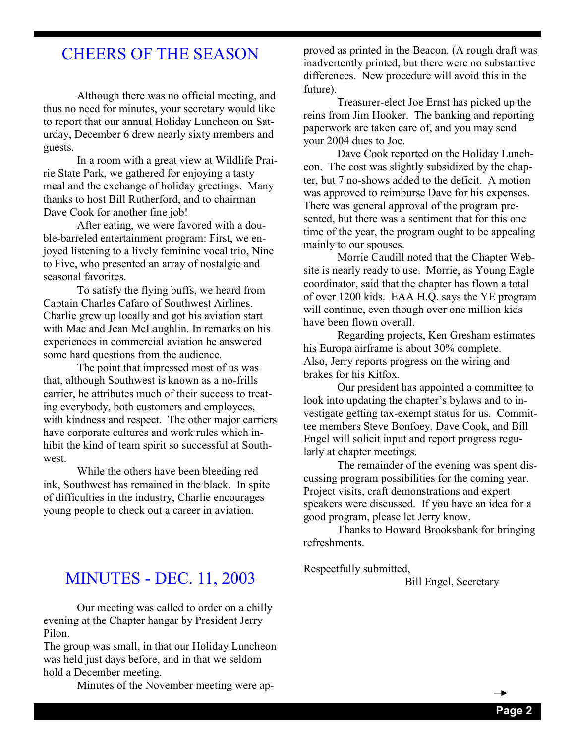### CHEERS OF THE SEASON

 Although there was no official meeting, and thus no need for minutes, your secretary would like to report that our annual Holiday Luncheon on Saturday, December 6 drew nearly sixty members and guests.

 In a room with a great view at Wildlife Prairie State Park, we gathered for enjoying a tasty meal and the exchange of holiday greetings. Many thanks to host Bill Rutherford, and to chairman Dave Cook for another fine job!

 After eating, we were favored with a double-barreled entertainment program: First, we enjoyed listening to a lively feminine vocal trio, Nine to Five, who presented an array of nostalgic and seasonal favorites.

 To satisfy the flying buffs, we heard from Captain Charles Cafaro of Southwest Airlines. Charlie grew up locally and got his aviation start with Mac and Jean McLaughlin. In remarks on his experiences in commercial aviation he answered some hard questions from the audience.

 The point that impressed most of us was that, although Southwest is known as a no-frills carrier, he attributes much of their success to treating everybody, both customers and employees, with kindness and respect. The other major carriers have corporate cultures and work rules which inhibit the kind of team spirit so successful at Southwest.

 While the others have been bleeding red ink, Southwest has remained in the black. In spite of difficulties in the industry, Charlie encourages young people to check out a career in aviation.

#### MINUTES - DEC. 11, 2003

 Our meeting was called to order on a chilly evening at the Chapter hangar by President Jerry Pilon.

The group was small, in that our Holiday Luncheon was held just days before, and in that we seldom hold a December meeting.

Minutes of the November meeting were ap-

proved as printed in the Beacon. (A rough draft was inadvertently printed, but there were no substantive differences. New procedure will avoid this in the future).

 Treasurer-elect Joe Ernst has picked up the reins from Jim Hooker. The banking and reporting paperwork are taken care of, and you may send your 2004 dues to Joe.

 Dave Cook reported on the Holiday Luncheon. The cost was slightly subsidized by the chapter, but 7 no-shows added to the deficit. A motion was approved to reimburse Dave for his expenses. There was general approval of the program presented, but there was a sentiment that for this one time of the year, the program ought to be appealing mainly to our spouses.

 Morrie Caudill noted that the Chapter Website is nearly ready to use. Morrie, as Young Eagle coordinator, said that the chapter has flown a total of over 1200 kids. EAA H.Q. says the YE program will continue, even though over one million kids have been flown overall.

 Regarding projects, Ken Gresham estimates his Europa airframe is about 30% complete. Also, Jerry reports progress on the wiring and brakes for his Kitfox.

 Our president has appointed a committee to look into updating the chapter's bylaws and to investigate getting tax-exempt status for us. Committee members Steve Bonfoey, Dave Cook, and Bill Engel will solicit input and report progress regularly at chapter meetings.

 The remainder of the evening was spent discussing program possibilities for the coming year. Project visits, craft demonstrations and expert speakers were discussed. If you have an idea for a good program, please let Jerry know.

 Thanks to Howard Brooksbank for bringing refreshments.

Respectfully submitted,

Bill Engel, Secretary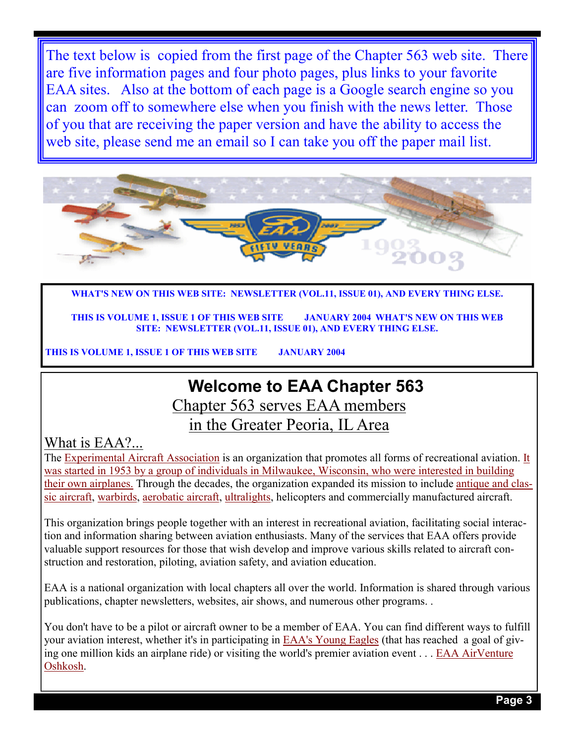The text below is copied from the first page of the Chapter 563 web site. There are five information pages and four photo pages, plus links to your favorite EAA sites. Also at the bottom of each page is a Google search engine so you can zoom off to somewhere else when you finish with the news letter. Those of you that are receiving the paper version and have the ability to access the web site, please send me an email so I can take you off the paper mail list.



**WHAT'S NEW ON THIS WEB SITE: NEWSLETTER (VOL.11, ISSUE 01), AND EVERY THING ELSE.**

**THIS IS VOLUME 1, ISSUE 1 OF THIS WEB SITE JANUARY 2004 WHAT'S NEW ON THIS WEB SITE: NEWSLETTER (VOL.11, ISSUE 01), AND EVERY THING ELSE.**

**THIS IS VOLUME 1, ISSUE 1 OF THIS WEB SITE JANUARY 2004**

## **Welcome to EAA Chapter 563**

Chapter 563 serves EAA members

### in the Greater Peoria, IL Area

#### What is EAA?...

The Experimental Aircraft Association is an organization that promotes all forms of recreational aviation. It was started in 1953 by a group of individuals in Milwaukee, Wisconsin, who were interested in building their own airplanes. Through the decades, the organization expanded its mission to include antique and classic aircraft, warbirds, aerobatic aircraft, ultralights, helicopters and commercially manufactured aircraft.

This organization brings people together with an interest in recreational aviation, facilitating social interaction and information sharing between aviation enthusiasts. Many of the services that EAA offers provide valuable support resources for those that wish develop and improve various skills related to aircraft construction and restoration, piloting, aviation safety, and aviation education.

EAA is a national organization with local chapters all over the world. Information is shared through various publications, chapter newsletters, websites, air shows, and numerous other programs. .

You don't have to be a pilot or aircraft owner to be a member of EAA. You can find different ways to fulfill your aviation interest, whether it's in participating in EAA's Young Eagles (that has reached a goal of giving one million kids an airplane ride) or visiting the world's premier aviation event . . . EAA AirVenture Oshkosh.